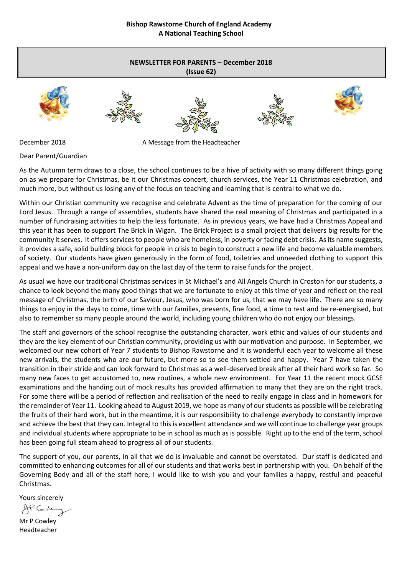# **NEWSLETTER FOR PARENTS – December 2018**













December 2018 **A Message from the Headteacher** 

Dear Parent/Guardian

As the Autumn term draws to a close, the school continues to be a hive of activity with so many different things going on as we prepare for Christmas, be it our Christmas concert, church services, the Year 11 Christmas celebration, and much more, but without us losing any of the focus on teaching and learning that is central to what we do.

Within our Christian community we recognise and celebrate Advent as the time of preparation for the coming of our Lord Jesus. Through a range of assemblies, students have shared the real meaning of Christmas and participated in a number of fundraising activities to help the less fortunate. As in previous years, we have had a Christmas Appeal and this year it has been to support The Brick in Wigan. The Brick Project is a small project that delivers big results for the community it serves. It offers services to people who are homeless, in poverty or facing debt crisis. As its name suggests, it provides a safe, solid building block for people in crisis to begin to construct a new life and become valuable members of society. Our students have given generously in the form of food, toiletries and unneeded clothing to support this appeal and we have a non-uniform day on the last day of the term to raise funds for the project.

As usual we have our traditional Christmas services in St Michael's and All Angels Church in Croston for our students, a chance to look beyond the many good things that we are fortunate to enjoy at this time of year and reflect on the real message of Christmas, the birth of our Saviour, Jesus, who was born for us, that we may have life. There are so many things to enjoy in the days to come, time with our families, presents, fine food, a time to rest and be re-energised, but also to remember so many people around the world, including young children who do not enjoy our blessings.

The staff and governors of the school recognise the outstanding character, work ethic and values of our students and they are the key element of our Christian community, providing us with our motivation and purpose. In September, we welcomed our new cohort of Year 7 students to Bishop Rawstorne and it is wonderful each year to welcome all these new arrivals, the students who are our future, but more so to see them settled and happy. Year 7 have taken the transition in their stride and can look forward to Christmas as a well-deserved break after all their hard work so far. So many new faces to get accustomed to, new routines, a whole new environment. For Year 11 the recent mock GCSE examinations and the handing out of mock results has provided affirmation to many that they are on the right track. For some there will be a period of reflection and realisation of the need to really engage in class and in homework for the remainder of Year 11. Looking ahead to August 2019, we hope as many of our students as possible will be celebrating the fruits of their hard work, but in the meantime, it is our responsibility to challenge everybody to constantly improve and achieve the best that they can. Integral to this is excellent attendance and we will continue to challenge year groups and individual students where appropriate to be in school as much as is possible. Right up to the end of the term, school has been going full steam ahead to progress all of our students.

The support of you, our parents, in all that we do is invaluable and cannot be overstated. Our staff is dedicated and committed to enhancing outcomes for all of our students and that works best in partnership with you. On behalf of the Governing Body and all of the staff here, I would like to wish you and your families a happy, restful and peaceful Christmas.

Yours sincerely

AP Caste

Mr P Cowley Headteacher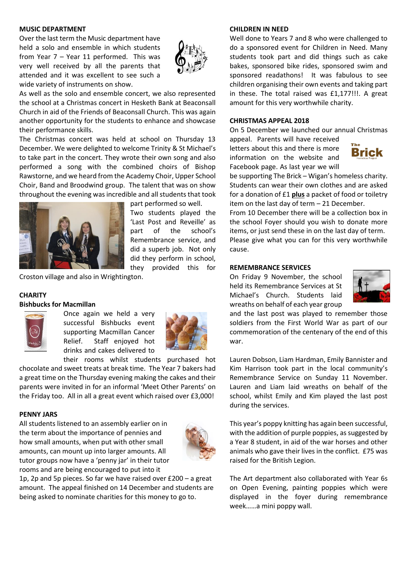#### **MUSIC DEPARTMENT**

Over the last term the Music department have held a solo and ensemble in which students from Year 7 – Year 11 performed. This was very well received by all the parents that attended and it was excellent to see such a wide variety of instruments on show.



As well as the solo and ensemble concert, we also represented the school at a Christmas concert in Hesketh Bank at Beaconsall Church in aid of the Friends of Beaconsall Church. This was again another opportunity for the students to enhance and showcase their performance skills.

The Christmas concert was held at school on Thursday 13 December. We were delighted to welcome Trinity & St Michael's to take part in the concert. They wrote their own song and also performed a song with the combined choirs of Bishop Rawstorne, and we heard from the Academy Choir, Upper School Choir, Band and Broodwind group. The talent that was on show throughout the evening was incredible and all students that took



part performed so well.

Two students played the 'Last Post and Reveille' as part of the school's Remembrance service, and did a superb job. Not only did they perform in school, they provided this for

Croston village and also in Wrightington.

#### **CHARITY**

#### **Bishbucks for Macmillan**



Once again we held a very successful Bishbucks event supporting Macmillan Cancer Relief. Staff enjoyed hot drinks and cakes delivered to



their rooms whilst students purchased hot chocolate and sweet treats at break time. The Year 7 bakers had a great time on the Thursday evening making the cakes and their parents were invited in for an informal 'Meet Other Parents' on the Friday too. All in all a great event which raised over £3,000!

#### **PENNY JARS**

All students listened to an assembly earlier on in the term about the importance of pennies and how small amounts, when put with other small amounts, can mount up into larger amounts. All tutor groups now have a 'penny jar' in their tutor rooms and are being encouraged to put into it



1p, 2p and 5p pieces. So far we have raised over £200 – a great amount. The appeal finished on 14 December and students are being asked to nominate charities for this money to go to.

#### **CHILDREN IN NEED**

Well done to Years 7 and 8 who were challenged to do a sponsored event for Children in Need. Many students took part and did things such as cake bakes, sponsored bike rides, sponsored swim and sponsored readathons! It was fabulous to see children organising their own events and taking part in these. The total raised was £1,177!!!. A great amount for this very worthwhile charity.

#### **CHRISTMAS APPEAL 2018**

On 5 December we launched our annual Christmas appeal. Parents will have received

letters about this and there is more information on the website and Facebook page. As last year we will



be supporting The Brick – Wigan's homeless charity. Students can wear their own clothes and are asked for a donation of £1 **plus** a packet of food or toiletry item on the last day of term – 21 December.

From 10 December there will be a collection box in the school Foyer should you wish to donate more items, or just send these in on the last day of term. Please give what you can for this very worthwhile cause.

#### **REMEMBRANCE SERVICES**

On Friday 9 November, the school held its Remembrance Services at St Michael's Church. Students laid wreaths on behalf of each year group



and the last post was played to remember those soldiers from the First World War as part of our commemoration of the centenary of the end of this war.

Lauren Dobson, Liam Hardman, Emily Bannister and Kim Harrison took part in the local community's Remembrance Service on Sunday 11 November. Lauren and Liam laid wreaths on behalf of the school, whilst Emily and Kim played the last post during the services.

This year's poppy knitting has again been successful, with the addition of purple poppies, as suggested by a Year 8 student, in aid of the war horses and other animals who gave their lives in the conflict. £75 was raised for the British Legion.

The Art department also collaborated with Year 6s on Open Evening, painting poppies which were displayed in the foyer during remembrance week……a mini poppy wall.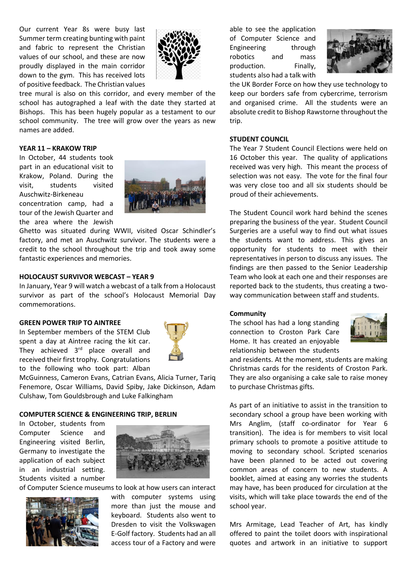Our current Year 8s were busy last Summer term creating bunting with paint and fabric to represent the Christian values of our school, and these are now proudly displayed in the main corridor down to the gym. This has received lots of positive feedback. The Christian values



tree mural is also on this corridor, and every member of the school has autographed a leaf with the date they started at Bishops. This has been hugely popular as a testament to our school community. The tree will grow over the years as new names are added.

#### **YEAR 11 – KRAKOW TRIP**

In October, 44 students took part in an educational visit to Krakow, Poland. During the visit, students visited Auschwitz-Birkeneau concentration camp, had a tour of the Jewish Quarter and

the area where the Jewish



Ghetto was situated during WWII, visited Oscar Schindler's factory, and met an Auschwitz survivor. The students were a credit to the school throughout the trip and took away some fantastic experiences and memories.

#### **HOLOCAUST SURVIVOR WEBCAST – YEAR 9**

In January, Year 9 will watch a webcast of a talk from a Holocaust survivor as part of the school's Holocaust Memorial Day commemorations.

#### **GREEN POWER TRIP TO AINTREE**

In September members of the STEM Club spent a day at Aintree racing the kit car. They achieved  $3<sup>rd</sup>$  place overall and received their first trophy. Congratulations to the following who took part: Alban



McGuinness, Cameron Evans, Catrian Evans, Alicia Turner, Tariq Fenemore, Oscar Williams, David Spiby, Jake Dickinson, Adam Culshaw, Tom Gouldsbrough and Luke Falkingham

#### **COMPUTER SCIENCE & ENGINEERING TRIP, BERLIN**

In October, students from Computer Science and Engineering visited Berlin, Germany to investigate the application of each subject in an industrial setting. Students visited a number



of Computer Science museums to look at how users can interact



with computer systems using more than just the mouse and keyboard. Students also went to Dresden to visit the Volkswagen E-Golf factory. Students had an all access tour of a Factory and were able to see the application of Computer Science and Engineering through robotics and mass production. Finally, students also had a talk with



the UK Border Force on how they use technology to keep our borders safe from cybercrime, terrorism and organised crime. All the students were an absolute credit to Bishop Rawstorne throughout the trip.

#### **STUDENT COUNCIL**

The Year 7 Student Council Elections were held on 16 October this year. The quality of applications received was very high. This meant the process of selection was not easy. The vote for the final four was very close too and all six students should be proud of their achievements.

The Student Council work hard behind the scenes preparing the business of the year. Student Council Surgeries are a useful way to find out what issues the students want to address. This gives an opportunity for students to meet with their representatives in person to discuss any issues. The findings are then passed to the Senior Leadership Team who look at each one and their responses are reported back to the students, thus creating a twoway communication between staff and students.

#### **Community**

The school has had a long standing connection to Croston Park Care Home. It has created an enjoyable relationship between the students



and residents. At the moment, students are making Christmas cards for the residents of Croston Park. They are also organising a cake sale to raise money to purchase Christmas gifts.

As part of an initiative to assist in the transition to secondary school a group have been working with Mrs Anglim, (staff co-ordinator for Year 6 transition). The idea is for members to visit local primary schools to promote a positive attitude to moving to secondary school. Scripted scenarios have been planned to be acted out covering common areas of concern to new students. A booklet, aimed at easing any worries the students may have, has been produced for circulation at the visits, which will take place towards the end of the school year.

Mrs Armitage, Lead Teacher of Art, has kindly offered to paint the toilet doors with inspirational quotes and artwork in an initiative to support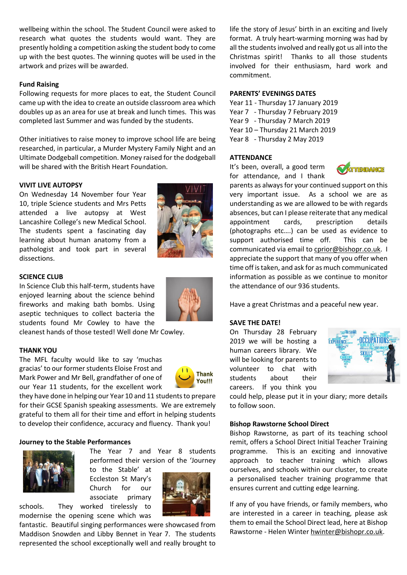wellbeing within the school. The Student Council were asked to research what quotes the students would want. They are presently holding a competition asking the student body to come up with the best quotes. The winning quotes will be used in the artwork and prizes will be awarded.

#### **Fund Raising**

Following requests for more places to eat, the Student Council came up with the idea to create an outside classroom area which doubles up as an area for use at break and lunch times. This was completed last Summer and was funded by the students.

Other initiatives to raise money to improve school life are being researched, in particular, a Murder Mystery Family Night and an Ultimate Dodgeball competition. Money raised for the dodgeball will be shared with the British Heart Foundation.

#### **VIVIT LIVE AUTOPSY**

On Wednesday 14 November four Year 10, triple Science students and Mrs Petts attended a live autopsy at West Lancashire College's new Medical School. The students spent a fascinating day learning about human anatomy from a pathologist and took part in several dissections.

#### **SCIENCE CLUB**

In Science Club this half-term, students have enjoyed learning about the science behind fireworks and making bath bombs. Using aseptic techniques to collect bacteria the students found Mr Cowley to have the

cleanest hands of those tested! Well done Mr Cowley.

#### **THANK YOU**

The MFL faculty would like to say 'muchas gracias' to our former students Eloise Frost and Mark Power and Mr Bell, grandfather of one of our Year 11 students, for the excellent work



they have done in helping our Year 10 and 11 students to prepare for their GCSE Spanish speaking assessments. We are extremely grateful to them all for their time and effort in helping students to develop their confidence, accuracy and fluency. Thank you!

#### **Journey to the Stable Performances**



performed their version of the 'Journey to the Stable' at Eccleston St Mary's Church for our associate primary

The Year 7 and Year 8 students



schools. They worked tirelessly to modernise the opening scene which was

fantastic. Beautiful singing performances were showcased from Maddison Snowden and Libby Bennet in Year 7. The students represented the school exceptionally well and really brought to

life the story of Jesus' birth in an exciting and lively format. A truly heart-warming morning was had by all the students involved and really got us all into the Christmas spirit! Thanks to all those students involved for their enthusiasm, hard work and commitment.

#### **PARENTS' EVENINGS DATES**

Year 11 - Thursday 17 January 2019 Year 7 - Thursday 7 February 2019 Year 9 - Thursday 7 March 2019 Year 10 – Thursday 21 March 2019 Year 8 - Thursday 2 May 2019

#### **ATTENDANCE**

It's been, overall, a good term for attendance, and I thank



parents as always for your continued support on this very important issue. As a school we are as understanding as we are allowed to be with regards absences, but can I please reiterate that any medical appointment cards, prescription details (photographs etc….) can be used as evidence to support authorised time off. This can be communicated via email t[o cprior@bishopr.co.uk.](mailto:cprior@bishopr.co.uk) I appreciate the support that many of you offer when time off is taken, and ask for as much communicated information as possible as we continue to monitor the attendance of our 936 students.

Have a great Christmas and a peaceful new year.

#### **SAVE THE DATE!**

On Thursday 28 February 2019 we will be hosting a human careers library. We will be looking for parents to volunteer to chat with students about their careers. If you think you



could help, please put it in your diary; more details to follow soon.

#### **Bishop Rawstorne School Direct**

Bishop Rawstorne, as part of its teaching school remit, offers a School Direct Initial Teacher Training programme. This is an exciting and innovative approach to teacher training which allows ourselves, and schools within our cluster, to create a personalised teacher training programme that ensures current and cutting edge learning.

If any of you have friends, or family members, who are interested in a career in teaching, please ask them to email the School Direct lead, here at Bishop Rawstorne - Helen Winte[r hwinter@bishopr.co.uk.](mailto:hwinter@bishopr.co.uk)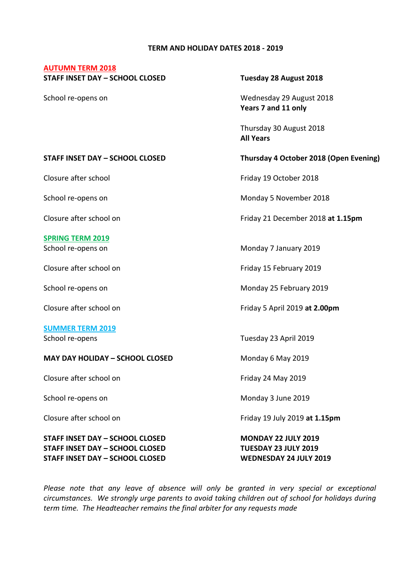#### **TERM AND HOLIDAY DATES 2018 - 2019**

#### **AUTUMN TERM 2018**

**STAFF INSET DAY – SCHOOL CLOSED Tuesday 28 August 2018**

School re-opens on Wednesday 29 August 2018 **Years 7 and 11 only**

> Thursday 30 August 2018 **All Years**

### **STAFF INSET DAY – SCHOOL CLOSED Thursday 4 October 2018 (Open Evening)**

# **SPRING TERM 2019**

## **SUMMER TERM 2019**

### **MAY DAY HOLIDAY – SCHOOL CLOSED** Monday 6 May 2019

Closure after school on Friday 24 May 2019

**STAFF INSET DAY – SCHOOL CLOSED MONDAY 22 JULY 2019 STAFF INSET DAY – SCHOOL CLOSED TUESDAY 23 JULY 2019 STAFF INSET DAY – SCHOOL CLOSED WEDNESDAY 24 JULY 2019**

Closure after school **Friday 19 October 2018** 

School re-opens on **Monday 5** November 2018

Closure after school on Friday 21 December 2018 **at 1.15pm**

School re-opens on Monday 7 January 2019

Closure after school on Friday 15 February 2019

School re-opens on The Community of Monday 25 February 2019

Closure after school on Friday 5 April 2019 **at 2.00pm**

School re-opens Tuesday 23 April 2019

School re-opens on The Contract of Monday 3 June 2019

Closure after school on Friday 19 July 2019 **at 1.15pm**

Please note that any leave of absence will only be granted in very special or exceptional *circumstances. We strongly urge parents to avoid taking children out of school for holidays during term time. The Headteacher remains the final arbiter for any requests made*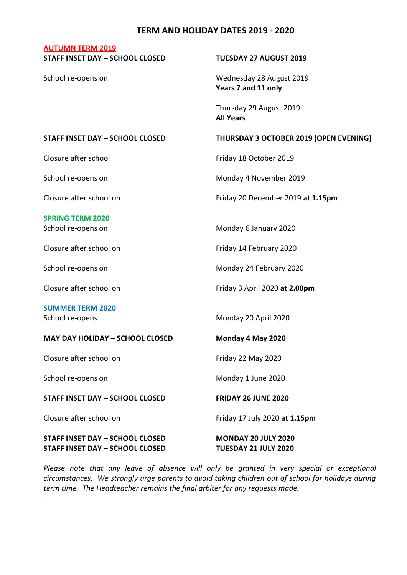# **TERM AND HOLIDAY DATES 2019 - 2020**

# **AUTUMN TERM 2019 STAFF INSET DAY – SCHOOL CLOSED TUESDAY 27 AUGUST 2019** School re-opens on The Control of the Wednesday 28 August 2019 **Years 7 and 11 only** Thursday 29 August 2019 **All Years STAFF INSET DAY – SCHOOL CLOSED THURSDAY 3 OCTOBER 2019 (OPEN EVENING)** Closure after school and Triday 18 October 2019 School re-opens on The Monday 4 November 2019 Closure after school on Friday 20 December 2019 **at 1.15pm SPRING TERM 2020** School re-opens on The Monday 6 January 2020 Closure after school on Friday 14 February 2020 School re-opens on The Communication of Monday 24 February 2020 Closure after school on Friday 3 April 2020 **at 2.00pm SUMMER TERM 2020** School re-opens Monday 20 April 2020 **MAY DAY HOLIDAY – SCHOOL CLOSED Monday 4 May 2020** Closure after school on Friday 22 May 2020 School re-opens on Monday 1 June 2020 **STAFF INSET DAY – SCHOOL CLOSED FRIDAY 26 JUNE 2020**

Closure after school on Friday 17 July 2020 **at 1.15pm**

*.*

**STAFF INSET DAY – SCHOOL CLOSED MONDAY 20 JULY 2020 STAFF INSET DAY – SCHOOL CLOSED TUESDAY 21 JULY 2020**

Please note that any leave of absence will only be granted in very special or exceptional *circumstances. We strongly urge parents to avoid taking children out of school for holidays during term time. The Headteacher remains the final arbiter for any requests made.*